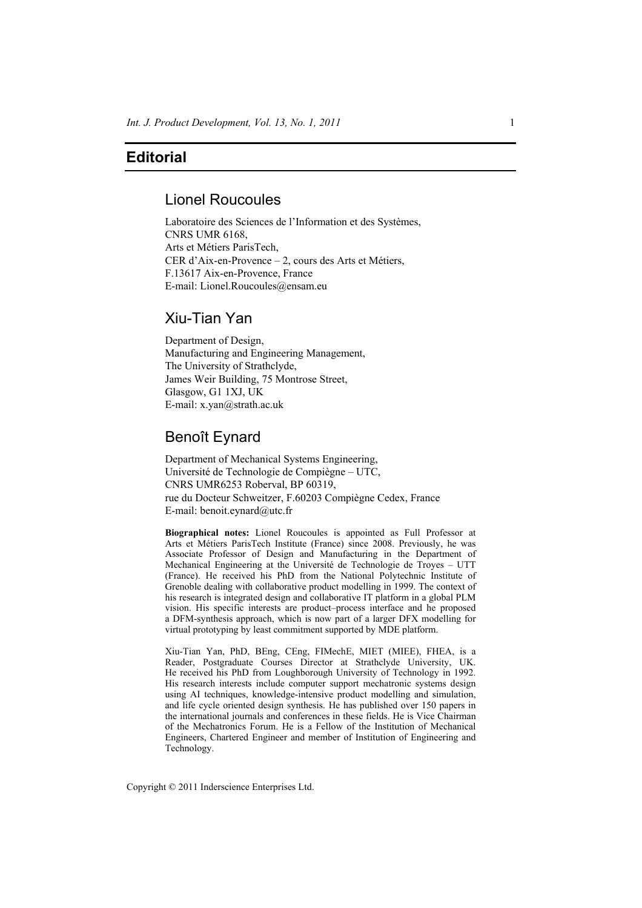## **Editorial**

#### Lionel Roucoules

Laboratoire des Sciences de l'Information et des Systèmes, CNRS UMR 6168, Arts et Métiers ParisTech, CER d'Aix-en-Provence – 2, cours des Arts et Métiers, F.13617 Aix-en-Provence, France E-mail: Lionel.Roucoules@ensam.eu

# Xiu-Tian Yan

Department of Design, Manufacturing and Engineering Management, The University of Strathclyde, James Weir Building, 75 Montrose Street, Glasgow, G1 1XJ, UK E-mail: x.yan@strath.ac.uk

### Benoît Eynard

Department of Mechanical Systems Engineering, Université de Technologie de Compiègne – UTC, CNRS UMR6253 Roberval, BP 60319, rue du Docteur Schweitzer, F.60203 Compiègne Cedex, France E-mail: benoit.eynard@utc.fr

**Biographical notes:** Lionel Roucoules is appointed as Full Professor at Arts et Métiers ParisTech Institute (France) since 2008. Previously, he was Associate Professor of Design and Manufacturing in the Department of Mechanical Engineering at the Université de Technologie de Troyes – UTT (France). He received his PhD from the National Polytechnic Institute of Grenoble dealing with collaborative product modelling in 1999. The context of his research is integrated design and collaborative IT platform in a global PLM vision. His specific interests are product–process interface and he proposed a DFM-synthesis approach, which is now part of a larger DFX modelling for virtual prototyping by least commitment supported by MDE platform.

Xiu-Tian Yan, PhD, BEng, CEng, FIMechE, MIET (MIEE), FHEA, is a Reader, Postgraduate Courses Director at Strathclyde University, UK. He received his PhD from Loughborough University of Technology in 1992. His research interests include computer support mechatronic systems design using AI techniques, knowledge-intensive product modelling and simulation, and life cycle oriented design synthesis. He has published over 150 papers in the international journals and conferences in these fields. He is Vice Chairman of the Mechatronics Forum. He is a Fellow of the Institution of Mechanical Engineers, Chartered Engineer and member of Institution of Engineering and Technology.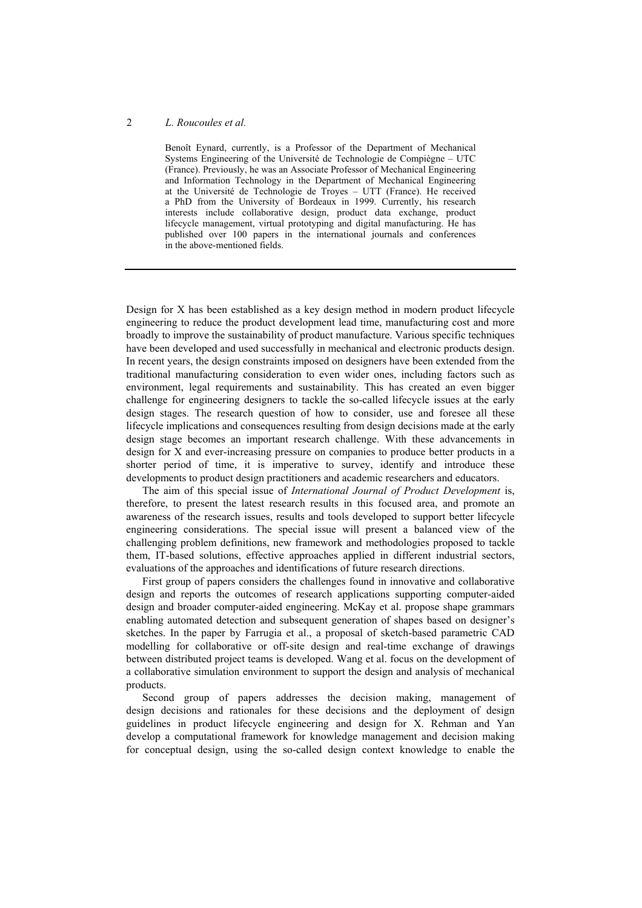#### 2 *L. Roucoules et al.*

Benoît Eynard, currently, is a Professor of the Department of Mechanical Systems Engineering of the Université de Technologie de Compiègne – UTC (France). Previously, he was an Associate Professor of Mechanical Engineering and Information Technology in the Department of Mechanical Engineering at the Université de Technologie de Troyes – UTT (France). He received a PhD from the University of Bordeaux in 1999. Currently, his research interests include collaborative design, product data exchange, product lifecycle management, virtual prototyping and digital manufacturing. He has published over 100 papers in the international journals and conferences in the above-mentioned fields.

Design for X has been established as a key design method in modern product lifecycle engineering to reduce the product development lead time, manufacturing cost and more broadly to improve the sustainability of product manufacture. Various specific techniques have been developed and used successfully in mechanical and electronic products design. In recent years, the design constraints imposed on designers have been extended from the traditional manufacturing consideration to even wider ones, including factors such as environment, legal requirements and sustainability. This has created an even bigger challenge for engineering designers to tackle the so-called lifecycle issues at the early design stages. The research question of how to consider, use and foresee all these lifecycle implications and consequences resulting from design decisions made at the early design stage becomes an important research challenge. With these advancements in design for X and ever-increasing pressure on companies to produce better products in a shorter period of time, it is imperative to survey, identify and introduce these developments to product design practitioners and academic researchers and educators.

The aim of this special issue of *International Journal of Product Development* is, therefore, to present the latest research results in this focused area, and promote an awareness of the research issues, results and tools developed to support better lifecycle engineering considerations. The special issue will present a balanced view of the challenging problem definitions, new framework and methodologies proposed to tackle them, IT-based solutions, effective approaches applied in different industrial sectors, evaluations of the approaches and identifications of future research directions.

First group of papers considers the challenges found in innovative and collaborative design and reports the outcomes of research applications supporting computer-aided design and broader computer-aided engineering. McKay et al. propose shape grammars enabling automated detection and subsequent generation of shapes based on designer's sketches. In the paper by Farrugia et al., a proposal of sketch-based parametric CAD modelling for collaborative or off-site design and real-time exchange of drawings between distributed project teams is developed. Wang et al. focus on the development of a collaborative simulation environment to support the design and analysis of mechanical products.

Second group of papers addresses the decision making, management of design decisions and rationales for these decisions and the deployment of design guidelines in product lifecycle engineering and design for X. Rehman and Yan develop a computational framework for knowledge management and decision making for conceptual design, using the so-called design context knowledge to enable the